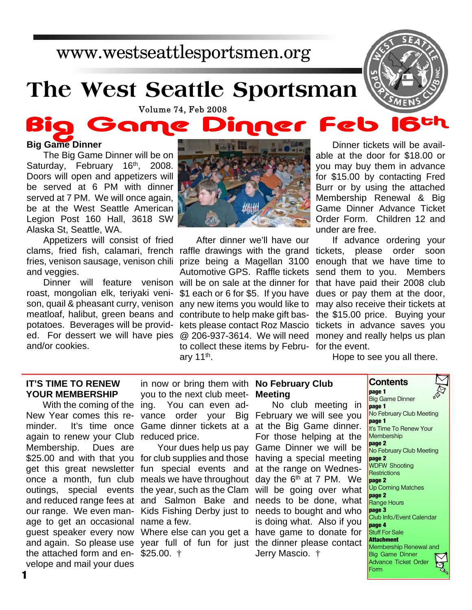# www.westseattlesportsmen.org

# **The West Seattle Sportsman**

**Volume 74, Feb 2008** 

#### Big Game ne

### **Big Game Dinner**

The Big Game Dinner will be on Saturday, February 16<sup>th</sup>, 2008. Doors will open and appetizers will be served at 6 PM with dinner served at 7 PM. We will once again, be at the West Seattle American Legion Post 160 Hall, 3618 SW Alaska St, Seattle, WA.

clams, fried fish, calamari, french raffle drawings with the grand tickets, please order soon fries, venison sausage, venison chili prize being a Magellan 3100 Appetizers will consist of fried and veggies.

roast, mongolian elk, teriyaki veni- \$1 each or 6 for \$5. If you have son, quail & pheasant curry, venison any new items you would like to may also receive their tickets at meatloaf, halibut, green beans and contribute to help make gift based. For dessert we will have pies @ 206-937-3614. We will need money and really helps us plan potatoes. Beverages will be providand/or cookies.



After dinner we'll have our Automotive GPS. Raffle tickets Dinner will feature venison will be on sale at the dinner for kets please contact Roz Mascio tickets in advance saves you to collect these items by Febru-for the event. ary 11<sup>th</sup>.

Dinner tickets will be available at the door for \$18.00 or you may buy them in advance for \$15.00 by contacting Fred Burr or by using the attached Membership Renewal & Big Game Dinner Advance Ticket Order Form. Children 12 and under are free.

Feb

If advance ordering your enough that we have time to send them to you. Members that have paid their 2008 club dues or pay them at the door, the \$15.00 price. Buying your

Hope to see you all there.

#### **IT'S TIME TO RENEW YOUR MEMBERSHIP**

With the coming of the ing. again to renew your Club reduced price. Membership. Dues are \$25.00 and with that you for club supplies and those having a special meeting get this great newsletter fun special events and at the range on Wednesonce a month, fun club meals we have throughout day the 6<sup>th</sup> at 7 PM. We outings, special events the year, such as the Clam will be going over what and reduced range fees at and Salmon Bake and needs to be done, what our range. We even man-Kids Fishing Derby just to needs to bought and who age to get an occasional name a few. guest speaker every now Where else can you get a have game to donate for and again. So please use year full of fun for just the dinner please contact the attached form and en-\$25.00. † velope and mail your dues

New Year comes this re-vance order your Big February we will see you minder. It's time once Game dinner tickets at a at the Big Game dinner. in now or bring them with **No February Club** you to the next club meet-**Meeting** You can even ad-

Your dues help us pay Game Dinner we will be No club meeting in For those helping at the is doing what. Also if you Jerry Mascio. †

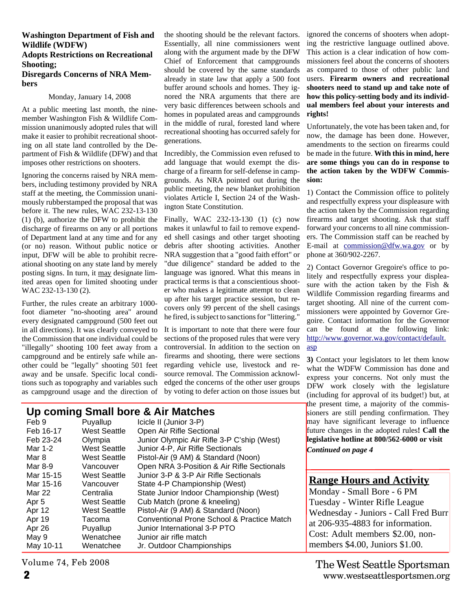#### **Washington Department of Fish and Wildlife (WDFW)**

#### **Adopts Restrictions on Recreational Shooting;**

#### **Disregards Concerns of NRA Members**

#### Monday, January 14, 2008

At a public meeting last month, the ninemember Washington Fish & Wildlife Commission unanimously adopted rules that will make it easier to prohibit recreational shooting on all state land controlled by the Department of Fish & Wildlife (DFW) and that imposes other restrictions on shooters.

Ignoring the concerns raised by NRA members, including testimony provided by NRA staff at the meeting, the Commission unanimously rubberstamped the proposal that was before it. The new rules, WAC 232-13-130 (1) (b), authorize the DFW to prohibit the discharge of firearms on any or all portions of Department land at any time and for any (or no) reason. Without public notice or input, DFW will be able to prohibit recreational shooting on any state land by merely posting signs. In turn, it may designate limited areas open for limited shooting under WAC 232-13-130 (2).

Further, the rules create an arbitrary 1000 foot diameter "no-shooting area" around every designated campground (500 feet out in all directions). It was clearly conveyed to the Commission that one individual could be "illegally" shooting 100 feet away from a campground and be entirely safe while another could be "legally" shooting 501 feet away and be unsafe. Specific local conditions such as topography and variables such as campground usage and the direction of the shooting should be the relevant factors. Essentially, all nine commissioners went along with the argument made by the DFW Chief of Enforcement that campgrounds should be covered by the same standards already in state law that apply a 500 foot buffer around schools and homes. They ignored the NRA arguments that there are very basic differences between schools and homes in populated areas and campgrounds in the middle of rural, forested land where recreational shooting has occurred safely for generations.

Incredibly, the Commission even refused to add language that would exempt the discharge of a firearm for self-defense in campgrounds. As NRA pointed out during the public meeting, the new blanket prohibition violates Article I, Section 24 of the Washington State Constitution.

Finally, WAC 232-13-130 (1) (c) now makes it unlawful to fail to remove expended shell casings and other target shooting debris after shooting activities. Another NRA suggestion that a "good faith effort" or "due diligence" standard be added to the language was ignored. What this means in practical terms is that a conscientious shooter who makes a legitimate attempt to clean up after his target practice session, but recovers only 99 percent of the shell casings he fired, is subject to sanctions for "littering."

It is important to note that there were four sections of the proposed rules that were very controversial. In addition to the section on firearms and shooting, there were sections regarding vehicle use, livestock and resource removal. The Commission acknowledged the concerns of the other user groups by voting to defer action on those issues but

# **Up coming Small bore & Air Matches**

| Feb 9     | Puyallup            | Icicle II (Junior 3-P)                     |
|-----------|---------------------|--------------------------------------------|
| Feb 16-17 | <b>West Seattle</b> | Open Air Rifle Sectional                   |
| Feb 23-24 | Olympia             | Junior Olympic Air Rifle 3-P C'ship (West) |
| Mar 1-2   | <b>West Seattle</b> | Junior 4-P, Air Rifle Sectionals           |
| Mar 8     | <b>West Seattle</b> | Pistol-Air (9 AM) & Standard (Noon)        |
| Mar 8-9   | Vancouver           | Open NRA 3-Position & Air Rifle Sectionals |
| Mar 15-15 | <b>West Seattle</b> | Junior 3-P & 3-P Air Rifle Sectionals      |
| Mar 15-16 | Vancouver           | State 4-P Championship (West)              |
| Mar 22    | Centralia           | State Junior Indoor Championship (West)    |
| Apr 5     | <b>West Seattle</b> | Cub Match (prone & kneeling)               |
| Apr 12    | <b>West Seattle</b> | Pistol-Air (9 AM) & Standard (Noon)        |
| Apr 19    | Tacoma              | Conventional Prone School & Practice Match |
| Apr 26    | Puyallup            | Junior International 3-P PTO               |
| May 9     | Wenatchee           | Junior air rifle match                     |
| May 10-11 | Wenatchee           | Jr. Outdoor Championships                  |
|           |                     |                                            |

Volume 74, Feb 2008

ignored the concerns of shooters when adopting the restrictive language outlined above. This action is a clear indication of how commissioners feel about the concerns of shooters as compared to those of other public land users. **Firearm owners and recreational shooters need to stand up and take note of how this policy-setting body and its individual members feel about your interests and rights!**

Unfortunately, the vote has been taken and, for now, the damage has been done. However, amendments to the section on firearms could be made in the future. **With this in mind, here are some things you can do in response to the action taken by the WDFW Commission:**

1) Contact the Commission office to politely and respectfully express your displeasure with the action taken by the Commission regarding firearms and target shooting. Ask that staff forward your concerns to all nine commissioners. The Commission staff can be reached by E-mail at commission@dfw.wa.gov or by phone at 360/902-2267.

2) Contact Governor Gregoire's office to politely and respectfully express your displeasure with the action taken by the Fish & Wildlife Commission regarding firearms and target shooting. All nine of the current commissioners were appointed by Governor Gregoire. Contact information for the Governor can be found at the following link: http://www.governor.wa.gov/contact/default. asp

**3)** Contact your legislators to let them know what the WDFW Commission has done and express your concerns. Not only must the DFW work closely with the legislature (including for approval of its budget!) but, at the present time, a majority of the commissioners are still pending confirmation. They may have significant leverage to influence future changes in the adopted rules**! Call the legislative hotline at 800/562-6000 or visit** *Continued on page 4*

## **Range Hours and Activity**

Monday - Small Bore - 6 PM Tuesday - Winter Rifle League Wednesday - Juniors - Call Fred Burr at 206-935-4883 for information. Cost: Adult members \$2.00, nonmembers \$4.00, Juniors \$1.00.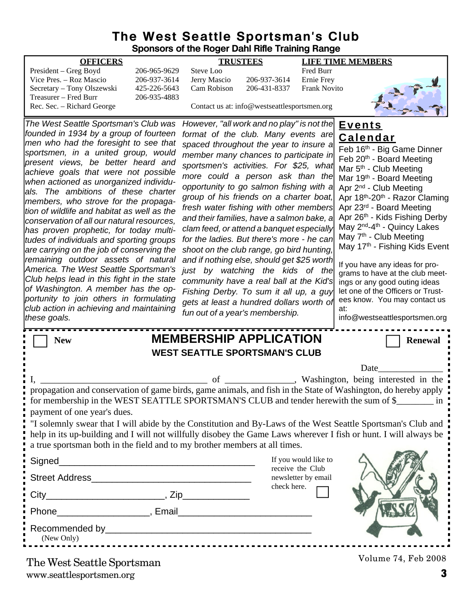### **The West Seattle Sportsman's Club Sponsors of the Roger Dahl Rifle Training Range**

| <b>OFFICERS</b>                                                                    |                              |                                                                                        | <b>TRUSTEES</b>                              |                                   | <b>LIFE TIME MEMBERS</b>                                                                                                                                                                                                         |
|------------------------------------------------------------------------------------|------------------------------|----------------------------------------------------------------------------------------|----------------------------------------------|-----------------------------------|----------------------------------------------------------------------------------------------------------------------------------------------------------------------------------------------------------------------------------|
| President - Greg Boyd                                                              | 206-965-9629                 | Steve Loo                                                                              |                                              | Fred Burr                         |                                                                                                                                                                                                                                  |
| Vice Pres. - Roz Mascio<br>Secretary - Tony Olszewski                              | 206-937-3614<br>425-226-5643 | Jerry Mascio<br>Cam Robison                                                            | 206-937-3614<br>206-431-8337                 | Ernie Frey<br><b>Frank Novito</b> |                                                                                                                                                                                                                                  |
| Treasurer - Fred Burr                                                              | 206-935-4883                 |                                                                                        |                                              |                                   |                                                                                                                                                                                                                                  |
| Rec. Sec. - Richard George                                                         |                              |                                                                                        | Contact us at: info@westseattlesportsmen.org |                                   |                                                                                                                                                                                                                                  |
| The West Seattle Sportsman's Club was                                              |                              | However, "all work and no play" is not the                                             |                                              |                                   | <u>Events</u>                                                                                                                                                                                                                    |
| founded in 1934 by a group of fourteen<br>men who had the foresight to see that    |                              | format of the club. Many events are                                                    |                                              |                                   | <b>Calendar</b>                                                                                                                                                                                                                  |
| sportsmen, in a united group, would                                                |                              | spaced throughout the year to insure a<br>member many chances to participate in        |                                              |                                   | Feb 16th - Big Game Dinner                                                                                                                                                                                                       |
| present views, be better heard and                                                 |                              | sportsmen's activities. For \$25, what                                                 |                                              |                                   | Feb 20 <sup>th</sup> - Board Meeting                                                                                                                                                                                             |
| achieve goals that were not possible                                               |                              | more could a person ask than the                                                       |                                              |                                   | Mar 5 <sup>th</sup> - Club Meeting<br>Mar 19th - Board Meeting                                                                                                                                                                   |
| when actioned as unorganized individu-<br>lals. The ambitions of these charter     |                              | opportunity to go salmon fishing with a                                                |                                              |                                   | Apr 2 <sup>nd</sup> - Club Meeting                                                                                                                                                                                               |
| members, who strove for the propaga-                                               |                              | group of his friends on a charter boat,                                                |                                              |                                   | Apr 18th-20th - Razor Claming                                                                                                                                                                                                    |
| tion of wildlife and habitat as well as the                                        |                              | fresh water fishing with other members                                                 |                                              |                                   | Apr 23rd - Board Meeting                                                                                                                                                                                                         |
| conservation of all our natural resources,                                         |                              | and their families, have a salmon bake, a                                              |                                              |                                   | Apr 26th - Kids Fishing Derby<br>May 2 <sup>nd</sup> -4 <sup>th</sup> - Quincy Lakes                                                                                                                                             |
| has proven prophetic, for today multi-<br>tudes of individuals and sporting groups |                              | clam feed, or attend a banquet especially<br>for the ladies. But there's more - he can |                                              |                                   | May 7 <sup>th</sup> - Club Meeting                                                                                                                                                                                               |
| are carrying on the job of conserving the                                          |                              | shoot on the club range, go bird hunting,                                              |                                              |                                   | May 17th - Fishing Kids Event                                                                                                                                                                                                    |
| remaining outdoor assets of natural                                                |                              | and if nothing else, should get \$25 worth                                             |                                              |                                   | If you have any ideas for pro-                                                                                                                                                                                                   |
| America. The West Seattle Sportsman's                                              |                              | just by watching the kids of the                                                       |                                              |                                   | grams to have at the club meet-                                                                                                                                                                                                  |
| Club helps lead in this fight in the state<br>of Washington. A member has the op-  |                              | community have a real ball at the Kid's                                                |                                              |                                   | ings or any good outing ideas                                                                                                                                                                                                    |
| portunity to join others in formulating                                            |                              | Fishing Derby. To sum it all up, a guy                                                 |                                              |                                   | let one of the Officers or Trust-<br>ees know. You may contact us                                                                                                                                                                |
| club action in achieving and maintaining                                           |                              | gets at least a hundred dollars worth of<br>fun out of a year's membership.            |                                              |                                   | at:                                                                                                                                                                                                                              |
| these goals.                                                                       |                              |                                                                                        |                                              |                                   | info@westseattlesportsmen.org                                                                                                                                                                                                    |
| <b>New</b>                                                                         |                              | <b>MEMBERSHIP APPLICATION</b>                                                          |                                              |                                   | <b>Renewal</b>                                                                                                                                                                                                                   |
|                                                                                    |                              | <b>WEST SEATTLE SPORTSMAN'S CLUB</b>                                                   |                                              |                                   |                                                                                                                                                                                                                                  |
|                                                                                    |                              |                                                                                        |                                              |                                   | Date                                                                                                                                                                                                                             |
|                                                                                    |                              | of                                                                                     |                                              |                                   | , Washington, being interested in the                                                                                                                                                                                            |
|                                                                                    |                              |                                                                                        |                                              |                                   | propagation and conservation of game birds, game animals, and fish in the State of Washington, do hereby apply                                                                                                                   |
|                                                                                    |                              |                                                                                        |                                              |                                   | for membership in the WEST SEATTLE SPORTSMAN'S CLUB and tender herewith the sum of \$                                                                                                                                            |
| payment of one year's dues.                                                        |                              |                                                                                        |                                              |                                   |                                                                                                                                                                                                                                  |
|                                                                                    |                              |                                                                                        |                                              |                                   | "I solemnly swear that I will abide by the Constitution and By-Laws of the West Seattle Sportsman's Club and<br>help in its up-building and I will not willfully disobey the Game Laws wherever I fish or hunt. I will always be |
| a true sportsman both in the field and to my brother members at all times.         |                              |                                                                                        |                                              |                                   |                                                                                                                                                                                                                                  |
| Signed<br><u> 1989 - Johann John Stone, mars eta biztanleria (h. 1982).</u>        |                              |                                                                                        |                                              | If you would like to              |                                                                                                                                                                                                                                  |
|                                                                                    |                              |                                                                                        |                                              | receive the Club                  |                                                                                                                                                                                                                                  |
|                                                                                    |                              |                                                                                        | check here.                                  | newsletter by email               |                                                                                                                                                                                                                                  |
|                                                                                    |                              |                                                                                        |                                              |                                   |                                                                                                                                                                                                                                  |
|                                                                                    |                              |                                                                                        |                                              |                                   |                                                                                                                                                                                                                                  |
|                                                                                    |                              |                                                                                        |                                              |                                   |                                                                                                                                                                                                                                  |
| (New Only)                                                                         |                              |                                                                                        |                                              |                                   |                                                                                                                                                                                                                                  |
| The West Seattle Sportsman                                                         |                              |                                                                                        |                                              |                                   | Volume 74, Feb 2008                                                                                                                                                                                                              |

www.seattlesportsmen.org **3**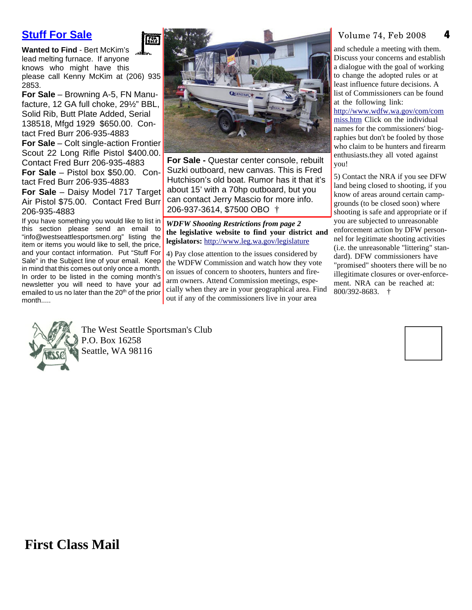# **Stuff For Sale**

**Wanted to Find** - Bert McKim's lead melting furnace. If anyone knows who might have this please call Kenny McKim at (206) 935 2853.

**For Sale** – Browning A-5, FN Manufacture, 12 GA full choke, 29½" BBL, Solid Rib, Butt Plate Added, Serial 138518, Mfgd 1929 \$650.00. Contact Fred Burr 206-935-4883

**For Sale** – Colt single-action Frontier Scout 22 Long Rifle Pistol \$400.00. Contact Fred Burr 206-935-4883 **For Sale** – Pistol box \$50.00. Con-

tact Fred Burr 206-935-4883 **For Sale** – Daisy Model 717 Target Air Pistol \$75.00. Contact Fred Burr 206-935-4883

If you have something you would like to list in this section please send an email to "info@westseattlesportsmen.org" listing the item or items you would like to sell, the price, and your contact information. Put "Stuff For Sale" in the Subject line of your email. Keep in mind that this comes out only once a month. In order to be listed in the coming month's newsletter you will need to have your ad emailed to us no later than the 20<sup>th</sup> of the prior month.....



**For Sale -** Questar center console, rebuilt Suzki outboard, new canvas. This is Fred Hutchison's old boat. Rumor has it that it's about 15' with a 70hp outboard, but you can contact Jerry Mascio for more info. 206-937-3614, \$7500 OBO †

#### *WDFW Shooting Restrictions from page 2* **the legislative website to find your district and legislators:** http://www.leg.wa.gov/legislature

4) Pay close attention to the issues considered by the WDFW Commission and watch how they vote on issues of concern to shooters, hunters and firearm owners. Attend Commission meetings, especially when they are in your geographical area. Find out if any of the commissioners live in your area

#### Volume 74, Feb 2008

**4**

and schedule a meeting with them. Discuss your concerns and establish a dialogue with the goal of working to change the adopted rules or at least influence future decisions. A list of Commissioners can be found at the following link:

http://www.wdfw.wa.gov/com/com miss.htm Click on the individual names for the commissioners' biographies but don't be fooled by those who claim to be hunters and firearm enthusiasts.they all voted against you!

5) Contact the NRA if you see DFW land being closed to shooting, if you know of areas around certain campgrounds (to be closed soon) where shooting is safe and appropriate or if you are subjected to unreasonable enforcement action by DFW personnel for legitimate shooting activities (i.e. the unreasonable "littering" standard). DFW commissioners have "promised" shooters there will be no illegitimate closures or over-enforcement. NRA can be reached at: 800/392-8683. †



The West Seattle Sportsman's Club P.O. Box 16258 Seattle, WA 98116

**FALL** 



**First Class Mail**